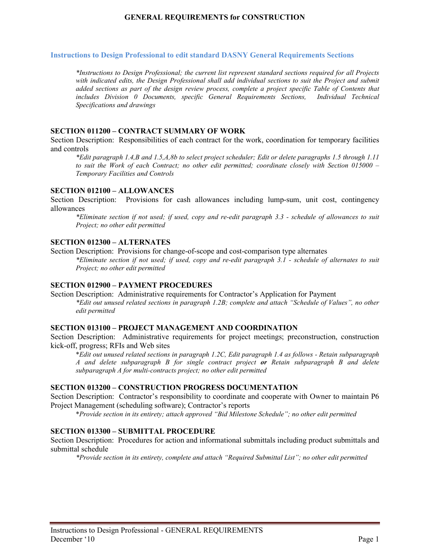## **GENERAL REQUIREMENTS for CONSTRUCTION**

#### **Instructions to Design Professional to edit standard DASNY General Requirements Sections**

*\*Instructions to Design Professional; the current list represent standard sections required for all Projects with indicated edits, the Design Professional shall add individual sections to suit the Project and submit added sections as part of the design review process, complete a project specific Table of Contents that includes Division 0 Documents, specific General Requirements Sections, Individual Technical Specifications and drawings* 

### **SECTION 011200 – CONTRACT SUMMARY OF WORK**

Section Description: Responsibilities of each contract for the work, coordination for temporary facilities and controls

*\*Edit paragraph 1.4,B and 1.5,A,8b to select project scheduler; Edit or delete paragraphs 1.5 through 1.11 to suit the Work of each Contract; no other edit permitted; coordinate closely with Section 015000 – Temporary Facilities and Controls*

### **SECTION 012100 – ALLOWANCES**

Section Description: Provisions for cash allowances including lump-sum, unit cost, contingency allowances

*\*Eliminate section if not used; if used, copy and re-edit paragraph 3.3 - schedule of allowances to suit Project; no other edit permitted*

### **SECTION 012300 – ALTERNATES**

Section Description: Provisions for change-of-scope and cost-comparison type alternates

*\*Eliminate section if not used; if used, copy and re-edit paragraph 3.1 - schedule of alternates to suit Project; no other edit permitted*

## **SECTION 012900 – PAYMENT PROCEDURES**

Section Description: Administrative requirements for Contractor's Application for Payment *\*Edit out unused related sections in paragraph 1.2B; complete and attach "Schedule of Values", no other edit permitted*

## **SECTION 013100 – PROJECT MANAGEMENT AND COORDINATION**

Section Description: Administrative requirements for project meetings; preconstruction, construction kick-off, progress; RFIs and Web sites

\**Edit out unused related sections in paragraph 1.2C, Edit paragraph 1.4 as follows - Retain subparagraph A and delete subparagraph B for single contract project or Retain subparagraph B and delete subparagraph A for multi-contracts project; no other edit permitted*

### **SECTION 013200 – CONSTRUCTION PROGRESS DOCUMENTATION**

Section Description: Contractor's responsibility to coordinate and cooperate with Owner to maintain P6 Project Management (scheduling software); Contractor's reports

\**Provide section in its entirety; attach approved "Bid Milestone Schedule"; no other edit permitted*

## **SECTION 013300 – SUBMITTAL PROCEDURE**

Section Description: Procedures for action and informational submittals including product submittals and submittal schedule

*\*Provide section in its entirety, complete and attach "Required Submittal List"; no other edit permitted*